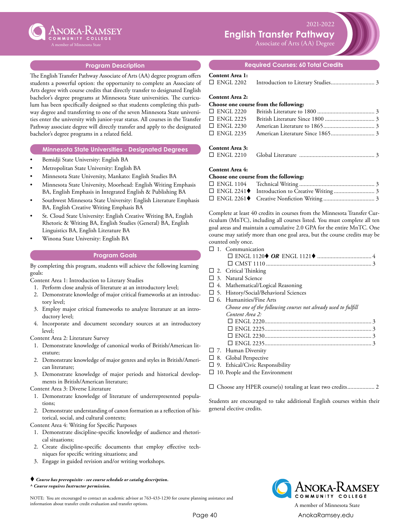

2021-2022 **English Transfer Pathway**

Associate of Arts (AA) Degree

## **Program Description**

The English Transfer Pathway Associate of Arts (AA) degree program offers students a powerful option: the opportunity to complete an Associate of Arts degree with course credits that directly transfer to designated English bachelor's degree programs at Minnesota State universities. The curriculum has been specifically designed so that students completing this pathway degree and transferring to one of the seven Minnesota State universities enter the university with junior-year status. All courses in the Transfer Pathway associate degree will directly transfer and apply to the designated bachelor's degree programs in a related field.

### **Minnesota State Universities - Designated Degrees**

- Bemidji State University: English BA
- Metropolitan State University: English BA
- Minnesota State University, Mankato: English Studies BA
- Minnesota State University, Moorhead: English Writing Emphasis BA, English Emphasis in Integrated English & Publishing BA
- Southwest Minnesota State University: English Literature Emphasis BA, English Creative Writing Emphasis BA
- St. Cloud State University: English Creative Writing BA, English Rhetoric & Writing BA, English Studies (General) BA, English Linguistics BA, English Literature BA
- Winona State University: English BA

#### **Program Goals**

By completing this program, students will achieve the following learning goals:

Content Area 1: Introduction to Literary Studies

- 1. Perform close analysis of literature at an introductory level;
- 2. Demonstrate knowledge of major critical frameworks at an introductory level;
- 3. Employ major critical frameworks to analyze literature at an introductory level;
- 4. Incorporate and document secondary sources at an introductory level;

Content Area 2: Literature Survey

- 1. Demonstrate knowledge of canonical works of British/American literature;
- 2. Demonstrate knowledge of major genres and styles in British/American literature;
- 3. Demonstrate knowledge of major periods and historical developments in British/American literature;

Content Area 3: Diverse Literature

- 1. Demonstrate knowledge of literature of underrepresented populations;
- 2. Demonstrate understanding of canon formation as a reflection of historical, social, and cultural contexts;

Content Area 4: Writing for Specific Purposes

- 1. Demonstrate discipline-specific knowledge of audience and rhetorical situations;
- 2. Create discipline-specific documents that employ effective techniques for specific writing situations; and
- 3. Engage in guided revision and/or writing workshops.

#### *Course has prerequisite - see course schedule or catalog description. ^ Course requires Instructor permission.*

NOTE: You are encouraged to contact an academic advisor at 763-433-1230 for course planning assistance and information about transfer credit evaluation and transfer options. A member of Minnesota State

# **Required Courses: 60 Total Credits**

## **Content Area 1:**

|  | $\Box$ ENGL 2202 |  |  |
|--|------------------|--|--|
|--|------------------|--|--|

#### **Content Area 2:**

### **Choose one course from the following:**

## **Content Area 3:**

¨ ENGL 2210 Global Literature ................................................... 3

#### **Content Area 4:**

### **Choose one course from the following:**

| □ ENGL 2241◆ Introduction to Creative Writing  3 |  |
|--------------------------------------------------|--|
|                                                  |  |

Complete at least 40 credits in courses from the Minnesota Transfer Curriculum (MnTC), including all courses listed. You must complete all ten goal areas and maintain a cumulative 2.0 GPA for the entire MnTC. One course may satisfy more than one goal area, but the course credits may be counted only once.

#### $\square$  1. Communication

- $\square$  2. Critical Thinking
- $\square$  3. Natural Science
- $\square$  4. Mathematical/Logical Reasoning
- $\square$  5. History/Social/Behavioral Sciences
- $\square$  6. Humanities/Fine Arts *Choose one of the following courses not already used to fulfill Content Area 2:* ¨ ENGL 2220....................................................................... 3 ¨ ENGL 2225....................................................................... 3 ¨ ENGL 2230....................................................................... 3 ¨ ENGL 2235....................................................................... 3  $\square$  7. Human Diversity
- $\square$  8. Global Perspective
- $\square$  9. Ethical/Civic Responsibility
- $\square$  10. People and the Environment

□ Choose any HPER course(s) totaling at least two credits................... 2

Students are encouraged to take additional English courses within their general elective credits.